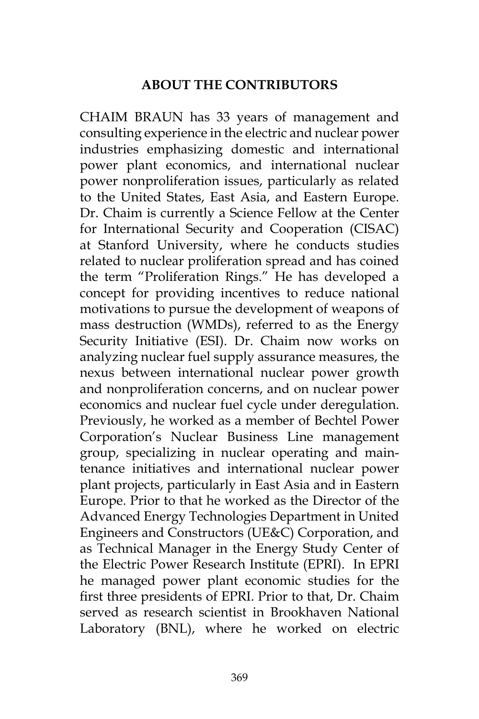## **ABOUT THE CONTRIBUTORS**

CHAIM BRAUN has 33 years of management and consulting experience in the electric and nuclear power industries emphasizing domestic and international power plant economics, and international nuclear power nonproliferation issues, particularly as related to the United States, East Asia, and Eastern Europe. Dr. Chaim is currently a Science Fellow at the Center for International Security and Cooperation (CISAC) at Stanford University, where he conducts studies related to nuclear proliferation spread and has coined the term "Proliferation Rings." He has developed a concept for providing incentives to reduce national motivations to pursue the development of weapons of mass destruction (WMDs), referred to as the Energy Security Initiative (ESI). Dr. Chaim now works on analyzing nuclear fuel supply assurance measures, the nexus between international nuclear power growth and nonproliferation concerns, and on nuclear power economics and nuclear fuel cycle under deregulation. Previously, he worked as a member of Bechtel Power Corporation's Nuclear Business Line management group, specializing in nuclear operating and maintenance initiatives and international nuclear power plant projects, particularly in East Asia and in Eastern Europe. Prior to that he worked as the Director of the Advanced Energy Technologies Department in United Engineers and Constructors (UE&C) Corporation, and as Technical Manager in the Energy Study Center of the Electric Power Research Institute (EPRI). In EPRI he managed power plant economic studies for the first three presidents of EPRI. Prior to that, Dr. Chaim served as research scientist in Brookhaven National Laboratory (BNL), where he worked on electric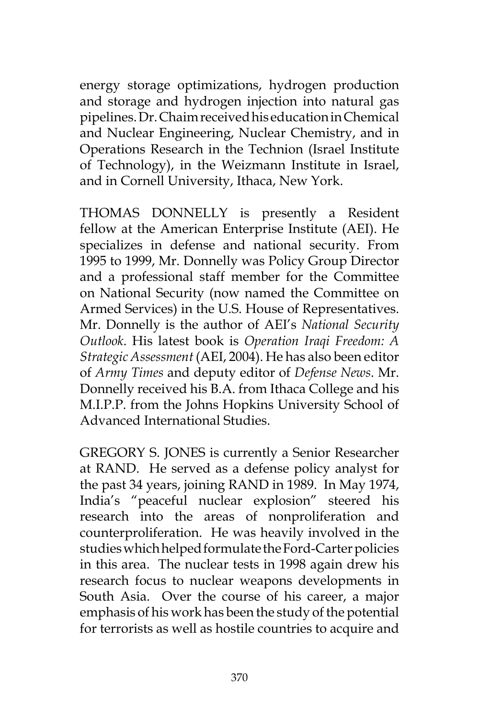energy storage optimizations, hydrogen production and storage and hydrogen injection into natural gas pipelines. Dr. Chaim received his education in Chemical and Nuclear Engineering, Nuclear Chemistry, and in Operations Research in the Technion (Israel Institute of Technology), in the Weizmann Institute in Israel, and in Cornell University, Ithaca, New York.

THOMAS DONNELLY is presently a Resident fellow at the American Enterprise Institute (AEI). He specializes in defense and national security. From 1995 to 1999, Mr. Donnelly was Policy Group Director and a professional staff member for the Committee on National Security (now named the Committee on Armed Services) in the U.S. House of Representatives. Mr. Donnelly is the author of AEI's *National Security Outlook*. His latest book is *Operation Iraqi Freedom: A Strategic Assessment* (AEI, 2004). He has also been editor of *Army Times* and deputy editor of *Defense News*. Mr. Donnelly received his B.A. from Ithaca College and his M.I.P.P. from the Johns Hopkins University School of Advanced International Studies.

GREGORY S. JONES is currently a Senior Researcher at RAND. He served as a defense policy analyst for the past 34 years, joining RAND in 1989. In May 1974, India's "peaceful nuclear explosion" steered his research into the areas of nonproliferation and counterproliferation. He was heavily involved in the studies which helped formulate the Ford-Carter policies in this area. The nuclear tests in 1998 again drew his research focus to nuclear weapons developments in South Asia. Over the course of his career, a major emphasis of his work has been the study of the potential for terrorists as well as hostile countries to acquire and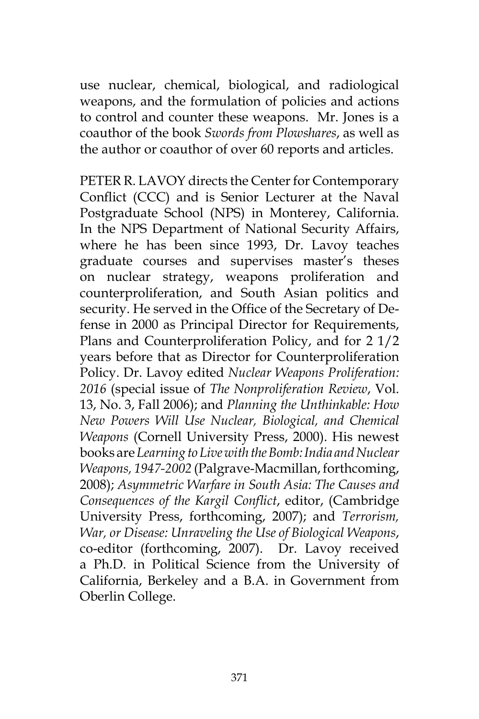use nuclear, chemical, biological, and radiological weapons, and the formulation of policies and actions to control and counter these weapons. Mr. Jones is a coauthor of the book *Swords from Plowshares*, as well as the author or coauthor of over 60 reports and articles.

PETER R. LAVOY directs the Center for Contemporary Conflict (CCC) and is Senior Lecturer at the Naval Postgraduate School (NPS) in Monterey, California. In the NPS Department of National Security Affairs, where he has been since 1993, Dr. Lavoy teaches graduate courses and supervises master's theses on nuclear strategy, weapons proliferation and counterproliferation, and South Asian politics and security. He served in the Office of the Secretary of Defense in 2000 as Principal Director for Requirements, Plans and Counterproliferation Policy, and for 2 1/2 years before that as Director for Counterproliferation Policy. Dr. Lavoy edited *Nuclear Weapons Proliferation: 2016* (special issue of *The Nonproliferation Review*, Vol. 13, No. 3, Fall 2006); and *Planning the Unthinkable: How New Powers Will Use Nuclear, Biological, and Chemical Weapons* (Cornell University Press, 2000). His newest books are *Learning to Live with the Bomb: India and Nuclear Weapons, 1947-2002* (Palgrave-Macmillan, forthcoming, 2008); *Asymmetric Warfare in South Asia: The Causes and Consequences of the Kargil Conflict*, editor, (Cambridge University Press, forthcoming, 2007); and *Terrorism, War, or Disease: Unraveling the Use of Biological Weapons*, co-editor (forthcoming, 2007). Dr. Lavoy received a Ph.D. in Political Science from the University of California, Berkeley and a B.A. in Government from Oberlin College.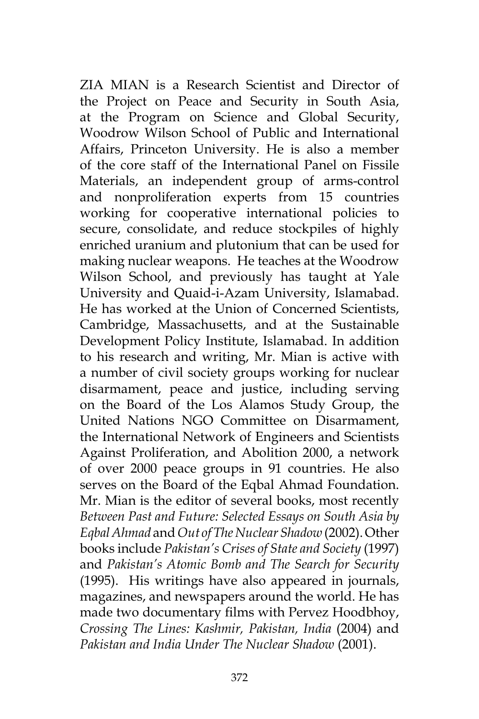ZIA MIAN is a Research Scientist and Director of the Project on Peace and Security in South Asia, at the Program on Science and Global Security, Woodrow Wilson School of Public and International Affairs, Princeton University. He is also a member of the core staff of the International Panel on Fissile Materials, an independent group of arms-control and nonproliferation experts from 15 countries working for cooperative international policies to secure, consolidate, and reduce stockpiles of highly enriched uranium and plutonium that can be used for making nuclear weapons. He teaches at the Woodrow Wilson School, and previously has taught at Yale University and Quaid-i-Azam University, Islamabad. He has worked at the Union of Concerned Scientists, Cambridge, Massachusetts, and at the Sustainable Development Policy Institute, Islamabad. In addition to his research and writing, Mr. Mian is active with a number of civil society groups working for nuclear disarmament, peace and justice, including serving on the Board of the Los Alamos Study Group, the United Nations NGO Committee on Disarmament, the International Network of Engineers and Scientists Against Proliferation, and Abolition 2000, a network of over 2000 peace groups in 91 countries. He also serves on the Board of the Eqbal Ahmad Foundation. Mr. Mian is the editor of several books, most recently *Between Past and Future: Selected Essays on South Asia by Eqbal Ahmad* and *Out of The Nuclear Shadow* (2002). Other books include *Pakistan's Crises of State and Society* (1997) and *Pakistan's Atomic Bomb and The Search for Security* (1995). His writings have also appeared in journals, magazines, and newspapers around the world. He has made two documentary films with Pervez Hoodbhoy, *Crossing The Lines: Kashmir, Pakistan, India* (2004) and *Pakistan and India Under The Nuclear Shadow* (2001).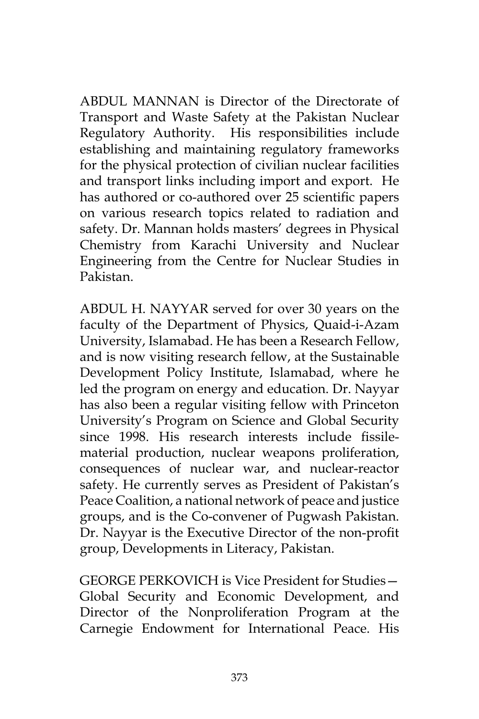ABDUL MANNAN is Director of the Directorate of Transport and Waste Safety at the Pakistan Nuclear Regulatory Authority. His responsibilities include establishing and maintaining regulatory frameworks for the physical protection of civilian nuclear facilities and transport links including import and export. He has authored or co-authored over 25 scientific papers on various research topics related to radiation and safety. Dr. Mannan holds masters' degrees in Physical Chemistry from Karachi University and Nuclear Engineering from the Centre for Nuclear Studies in Pakistan.

ABDUL H. NAYYAR served for over 30 years on the faculty of the Department of Physics, Quaid-i-Azam University, Islamabad. He has been a Research Fellow, and is now visiting research fellow, at the Sustainable Development Policy Institute, Islamabad, where he led the program on energy and education. Dr. Nayyar has also been a regular visiting fellow with Princeton University's Program on Science and Global Security since 1998. His research interests include fissilematerial production, nuclear weapons proliferation, consequences of nuclear war, and nuclear-reactor safety. He currently serves as President of Pakistan's Peace Coalition, a national network of peace and justice groups, and is the Co-convener of Pugwash Pakistan. Dr. Nayyar is the Executive Director of the non-profit group, Developments in Literacy, Pakistan.

GEORGE PERKOVICH is Vice President for Studies— Global Security and Economic Development, and Director of the Nonproliferation Program at the Carnegie Endowment for International Peace. His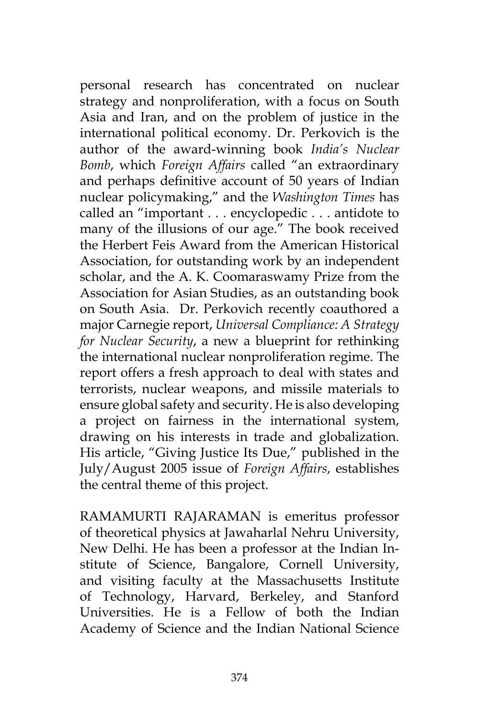personal research has concentrated on nuclear strategy and nonproliferation, with a focus on South Asia and Iran, and on the problem of justice in the international political economy. Dr. Perkovich is the author of the award-winning book *India's Nuclear Bomb*, which *Foreign Affairs* called "an extraordinary and perhaps definitive account of 50 years of Indian nuclear policymaking," and the *Washington Times* has called an "important . . . encyclopedic . . . antidote to many of the illusions of our age." The book received the Herbert Feis Award from the American Historical Association, for outstanding work by an independent scholar, and the A. K. Coomaraswamy Prize from the Association for Asian Studies, as an outstanding book on South Asia. Dr. Perkovich recently coauthored a major Carnegie report, *Universal Compliance: A Strategy for Nuclear Security*, a new a blueprint for rethinking the international nuclear nonproliferation regime. The report offers a fresh approach to deal with states and terrorists, nuclear weapons, and missile materials to ensure global safety and security. He is also developing a project on fairness in the international system, drawing on his interests in trade and globalization. His article, "Giving Justice Its Due," published in the July/August 2005 issue of *Foreign Affairs*, establishes the central theme of this project.

RAMAMURTI RAJARAMAN is emeritus professor of theoretical physics at Jawaharlal Nehru University, New Delhi. He has been a professor at the Indian Institute of Science, Bangalore, Cornell University, and visiting faculty at the Massachusetts Institute of Technology, Harvard, Berkeley, and Stanford Universities. He is a Fellow of both the Indian Academy of Science and the Indian National Science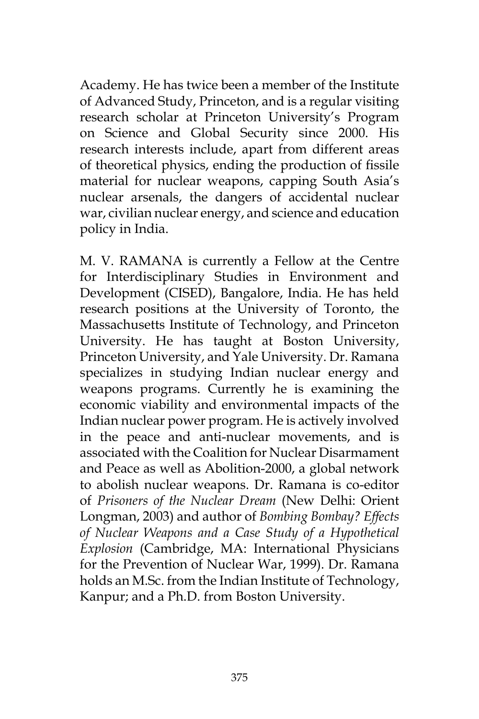Academy. He has twice been a member of the Institute of Advanced Study, Princeton, and is a regular visiting research scholar at Princeton University's Program on Science and Global Security since 2000. His research interests include, apart from different areas of theoretical physics, ending the production of fissile material for nuclear weapons, capping South Asia's nuclear arsenals, the dangers of accidental nuclear war, civilian nuclear energy, and science and education policy in India.

M. V. RAMANA is currently a Fellow at the Centre for Interdisciplinary Studies in Environment and Development (CISED), Bangalore, India. He has held research positions at the University of Toronto, the Massachusetts Institute of Technology, and Princeton University. He has taught at Boston University, Princeton University, and Yale University. Dr. Ramana specializes in studying Indian nuclear energy and weapons programs. Currently he is examining the economic viability and environmental impacts of the Indian nuclear power program. He is actively involved in the peace and anti-nuclear movements, and is associated with the Coalition for Nuclear Disarmament and Peace as well as Abolition-2000, a global network to abolish nuclear weapons. Dr. Ramana is co-editor of *Prisoners of the Nuclear Dream* (New Delhi: Orient Longman, 2003) and author of *Bombing Bombay? Effects of Nuclear Weapons and a Case Study of a Hypothetical Explosion* (Cambridge, MA: International Physicians for the Prevention of Nuclear War, 1999). Dr. Ramana holds an M.Sc. from the Indian Institute of Technology, Kanpur; and a Ph.D. from Boston University.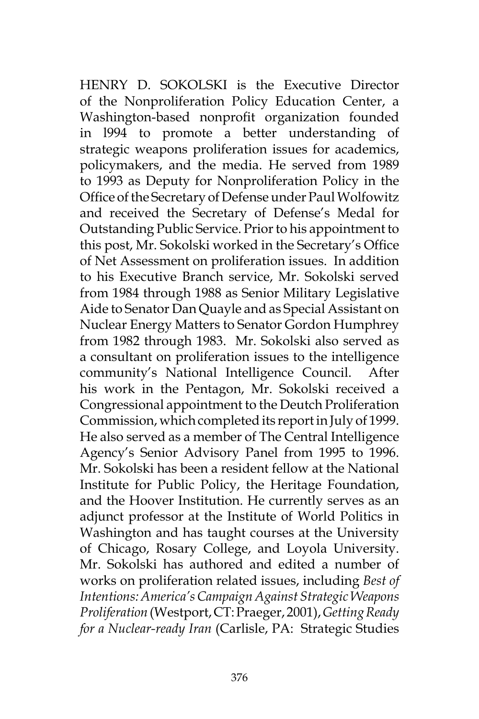HENRY D. SOKOLSKI is the Executive Director of the Nonproliferation Policy Education Center, a Washington-based nonprofit organization founded in l994 to promote a better understanding of strategic weapons proliferation issues for academics, policymakers, and the media. He served from 1989 to 1993 as Deputy for Nonproliferation Policy in the Office of the Secretary of Defense under Paul Wolfowitz and received the Secretary of Defense's Medal for Outstanding Public Service. Prior to his appointment to this post, Mr. Sokolski worked in the Secretary's Office of Net Assessment on proliferation issues. In addition to his Executive Branch service, Mr. Sokolski served from 1984 through 1988 as Senior Military Legislative Aide to Senator Dan Quayle and as Special Assistant on Nuclear Energy Matters to Senator Gordon Humphrey from 1982 through 1983. Mr. Sokolski also served as a consultant on proliferation issues to the intelligence community's National Intelligence Council. After his work in the Pentagon, Mr. Sokolski received a Congressional appointment to the Deutch Proliferation Commission, which completed its report in July of 1999. He also served as a member of The Central Intelligence Agency's Senior Advisory Panel from 1995 to 1996. Mr. Sokolski has been a resident fellow at the National Institute for Public Policy, the Heritage Foundation, and the Hoover Institution. He currently serves as an adjunct professor at the Institute of World Politics in Washington and has taught courses at the University of Chicago, Rosary College, and Loyola University. Mr. Sokolski has authored and edited a number of works on proliferation related issues, including *Best of Intentions: America's Campaign Against Strategic Weapons Proliferation* (Westport, CT: Praeger, 2001), *Getting Ready for a Nuclear-ready Iran* (Carlisle, PA: Strategic Studies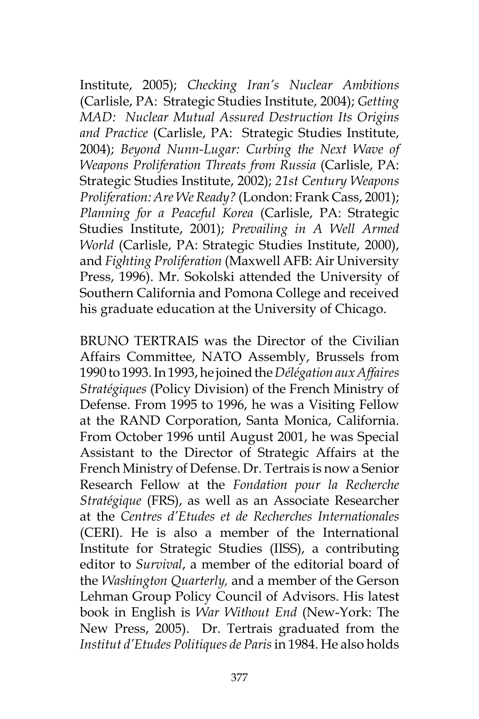Institute, 2005); *Checking Iran's Nuclear Ambitions* (Carlisle, PA: Strategic Studies Institute, 2004); *Getting MAD: Nuclear Mutual Assured Destruction Its Origins and Practice* (Carlisle, PA: Strategic Studies Institute, 2004); *Beyond Nunn-Lugar: Curbing the Next Wave of Weapons Proliferation Threats from Russia* (Carlisle, PA: Strategic Studies Institute, 2002); *21st Century Weapons Proliferation: Are We Ready?* (London: Frank Cass, 2001); *Planning for a Peaceful Korea* (Carlisle, PA: Strategic Studies Institute, 2001); *Prevailing in A Well Armed World* (Carlisle, PA: Strategic Studies Institute, 2000), and *Fighting Proliferation* (Maxwell AFB: Air University Press, 1996). Mr. Sokolski attended the University of Southern California and Pomona College and received his graduate education at the University of Chicago.

BRUNO TERTRAIS was the Director of the Civilian Affairs Committee, NATO Assembly, Brussels from 1990 to 1993. In 1993, he joined the *Délégation aux Affaires Stratégiques* (Policy Division) of the French Ministry of Defense. From 1995 to 1996, he was a Visiting Fellow at the RAND Corporation, Santa Monica, California. From October 1996 until August 2001, he was Special Assistant to the Director of Strategic Affairs at the French Ministry of Defense. Dr. Tertrais is now a Senior Research Fellow at the *Fondation pour la Recherche Stratégique* (FRS), as well as an Associate Researcher at the *Centres d'Etudes et de Recherches Internationales*  (CERI). He is also a member of the International Institute for Strategic Studies (IISS), a contributing editor to *Survival*, a member of the editorial board of the *Washington Quarterly,* and a member of the Gerson Lehman Group Policy Council of Advisors. His latest book in English is *War Without End* (New-York: The New Press, 2005). Dr. Tertrais graduated from the *Institut d'Etudes Politiques de Paris* in 1984. He also holds